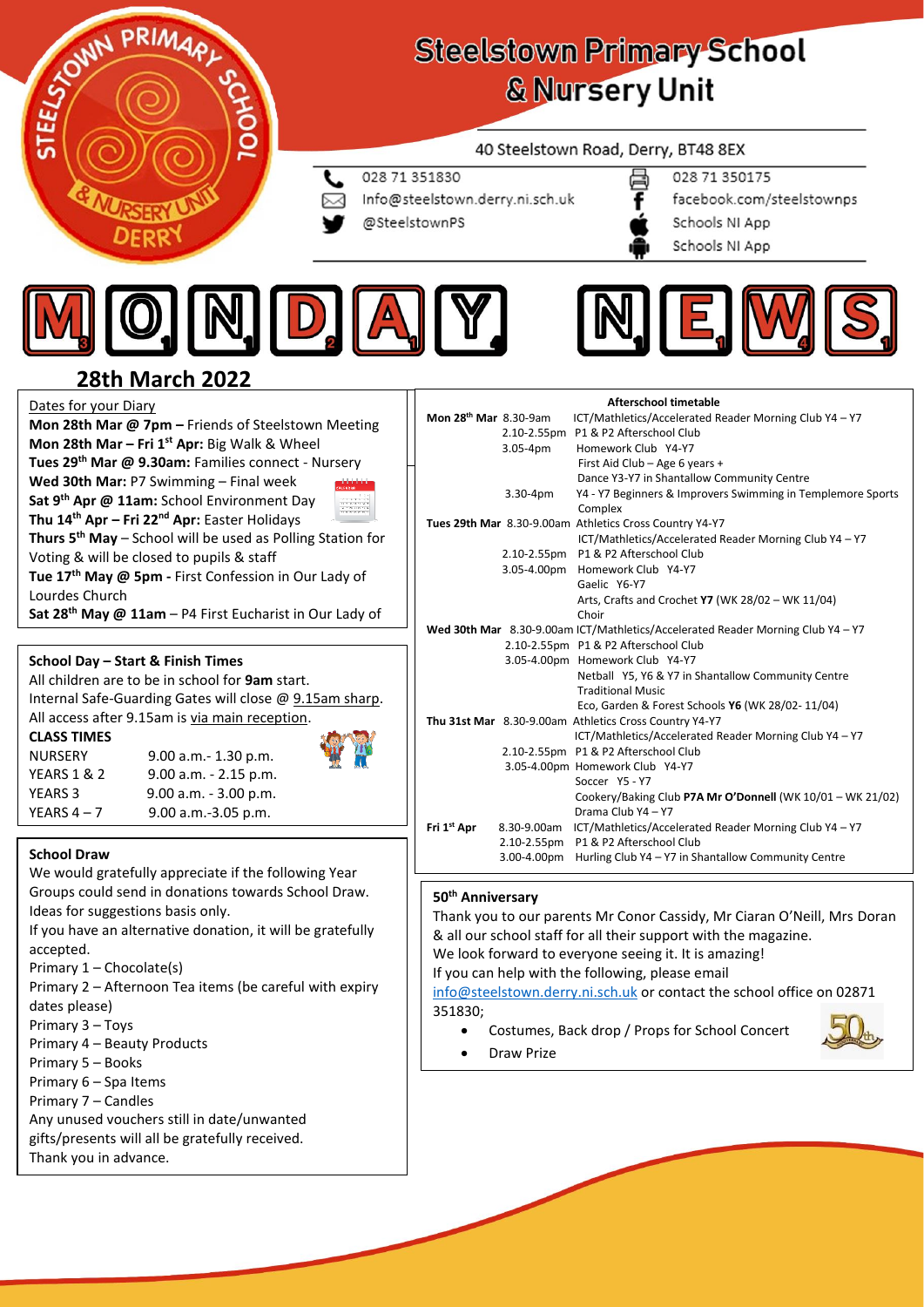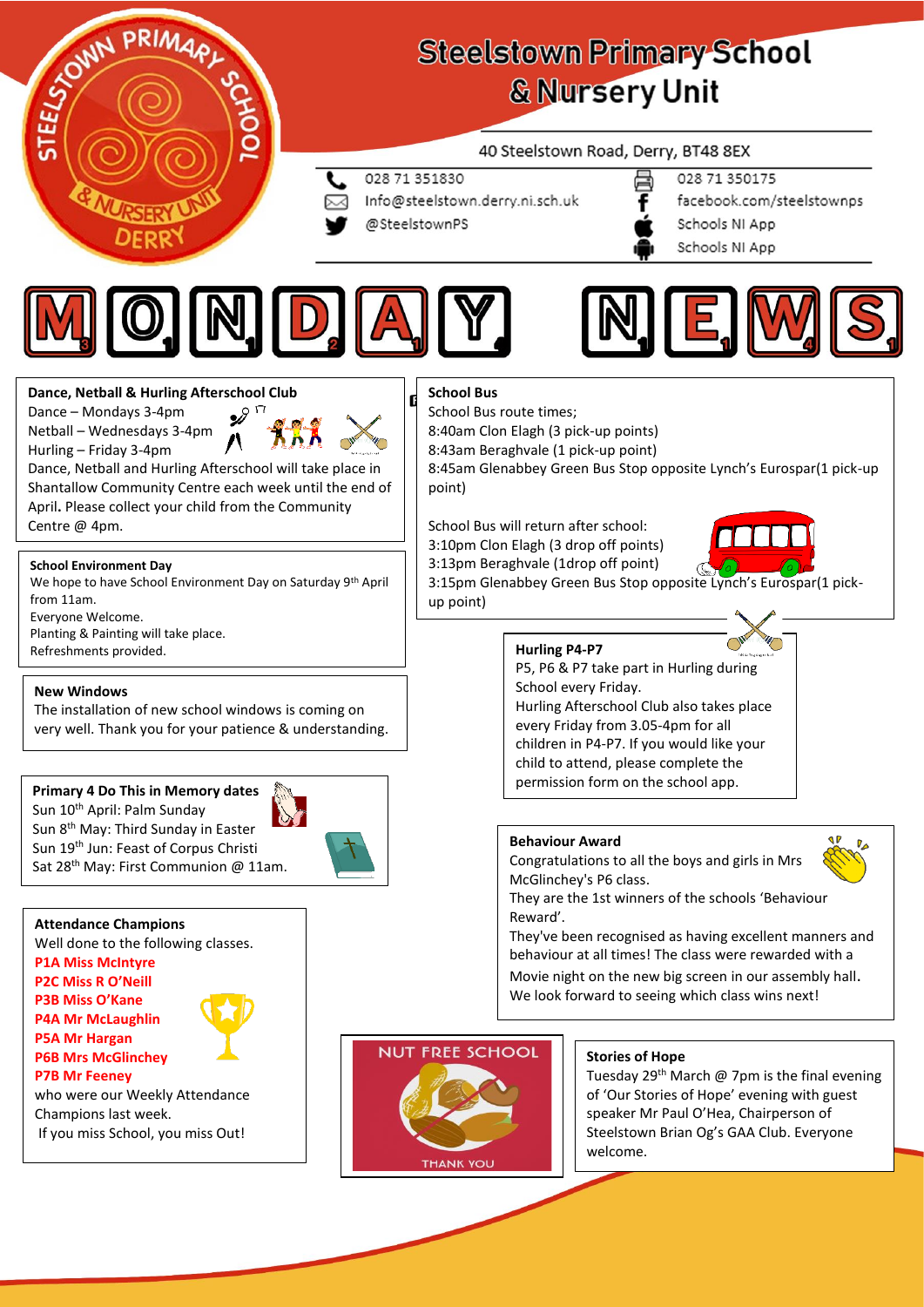